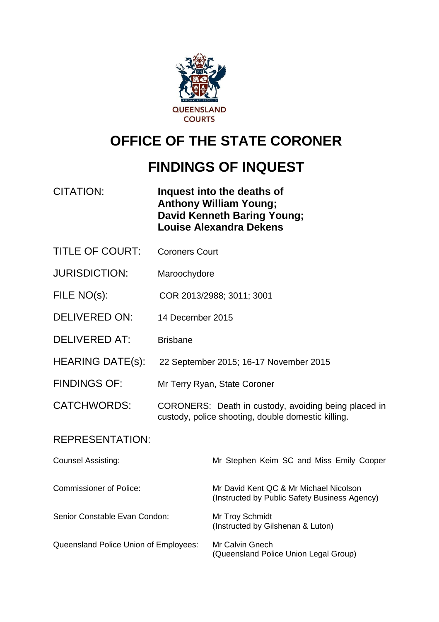

# **OFFICE OF THE STATE CORONER**

# **FINDINGS OF INQUEST**

| CITATION: | Inquest into the deaths of     |
|-----------|--------------------------------|
|           | <b>Anthony William Young;</b>  |
|           | David Kenneth Baring Young;    |
|           | <b>Louise Alexandra Dekens</b> |

- TITLE OF COURT: Coroners Court
- JURISDICTION: Maroochydore
- FILE NO(s): COR 2013/2988; 3011; 3001
- DELIVERED ON: 14 December 2015
- DELIVERED AT: Brisbane
- HEARING DATE(s): 22 September 2015; 16-17 November 2015
- FINDINGS OF: Mr Terry Ryan, State Coroner
- CATCHWORDS: CORONERS: Death in custody, avoiding being placed in custody, police shooting, double domestic killing.

#### REPRESENTATION:

| <b>Counsel Assisting:</b>             | Mr Stephen Keim SC and Miss Emily Cooper                                                |
|---------------------------------------|-----------------------------------------------------------------------------------------|
| Commissioner of Police:               | Mr David Kent QC & Mr Michael Nicolson<br>(Instructed by Public Safety Business Agency) |
| Senior Constable Evan Condon:         | Mr Troy Schmidt<br>(Instructed by Gilshenan & Luton)                                    |
| Queensland Police Union of Employees: | Mr Calvin Gnech<br>(Queensland Police Union Legal Group)                                |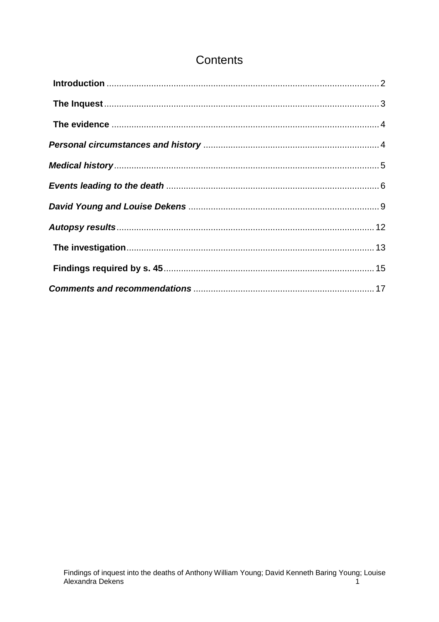## Contents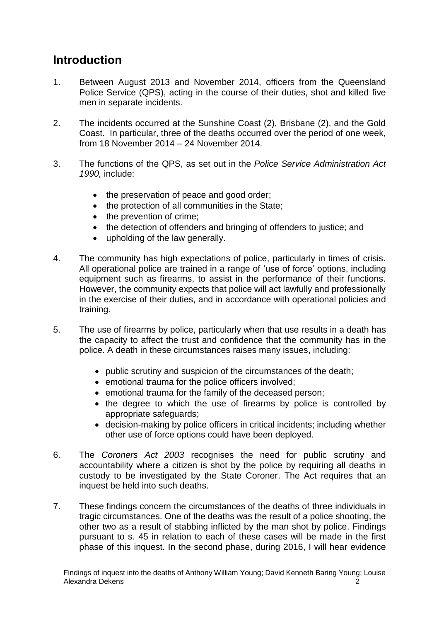# <span id="page-2-0"></span>**Introduction**

- 1. Between August 2013 and November 2014, officers from the Queensland Police Service (QPS), acting in the course of their duties, shot and killed five men in separate incidents.
- 2. The incidents occurred at the Sunshine Coast (2), Brisbane (2), and the Gold Coast. In particular, three of the deaths occurred over the period of one week, from 18 November 2014 – 24 November 2014.
- 3. The functions of the QPS, as set out in the *Police Service Administration Act 1990,* include:
	- the preservation of peace and good order;
	- the protection of all communities in the State;
	- the prevention of crime;
	- the detection of offenders and bringing of offenders to justice; and
	- upholding of the law generally.
- 4. The community has high expectations of police, particularly in times of crisis. All operational police are trained in a range of 'use of force' options, including equipment such as firearms, to assist in the performance of their functions. However, the community expects that police will act lawfully and professionally in the exercise of their duties, and in accordance with operational policies and training.
- 5. The use of firearms by police, particularly when that use results in a death has the capacity to affect the trust and confidence that the community has in the police. A death in these circumstances raises many issues, including:
	- public scrutiny and suspicion of the circumstances of the death;
	- emotional trauma for the police officers involved;
	- emotional trauma for the family of the deceased person;
	- the degree to which the use of firearms by police is controlled by appropriate safeguards;
	- decision-making by police officers in critical incidents; including whether other use of force options could have been deployed.
- 6. The *Coroners Act 2003* recognises the need for public scrutiny and accountability where a citizen is shot by the police by requiring all deaths in custody to be investigated by the State Coroner. The Act requires that an inquest be held into such deaths.
- 7. These findings concern the circumstances of the deaths of three individuals in tragic circumstances. One of the deaths was the result of a police shooting, the other two as a result of stabbing inflicted by the man shot by police. Findings pursuant to s. 45 in relation to each of these cases will be made in the first phase of this inquest. In the second phase, during 2016, I will hear evidence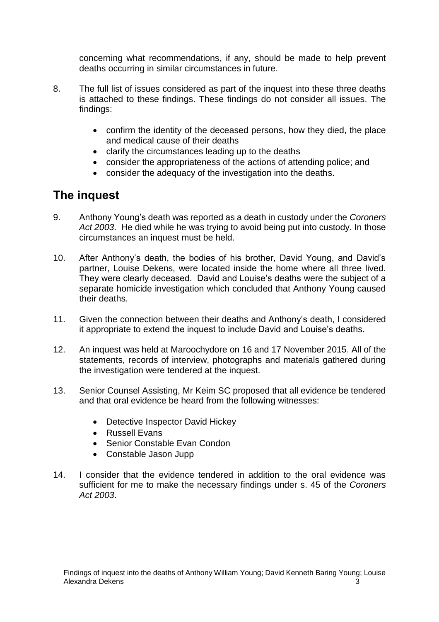concerning what recommendations, if any, should be made to help prevent deaths occurring in similar circumstances in future.

- 8. The full list of issues considered as part of the inquest into these three deaths is attached to these findings. These findings do not consider all issues. The findings:
	- confirm the identity of the deceased persons, how they died, the place and medical cause of their deaths
	- clarify the circumstances leading up to the deaths
	- consider the appropriateness of the actions of attending police; and
	- consider the adequacy of the investigation into the deaths.

### <span id="page-3-0"></span>**The inquest**

- 9. Anthony Young's death was reported as a death in custody under the *Coroners Act 2003*. He died while he was trying to avoid being put into custody. In those circumstances an inquest must be held.
- 10. After Anthony's death, the bodies of his brother, David Young, and David's partner, Louise Dekens, were located inside the home where all three lived. They were clearly deceased. David and Louise's deaths were the subject of a separate homicide investigation which concluded that Anthony Young caused their deaths.
- 11. Given the connection between their deaths and Anthony's death, I considered it appropriate to extend the inquest to include David and Louise's deaths.
- 12. An inquest was held at Maroochydore on 16 and 17 November 2015. All of the statements, records of interview, photographs and materials gathered during the investigation were tendered at the inquest.
- 13. Senior Counsel Assisting, Mr Keim SC proposed that all evidence be tendered and that oral evidence be heard from the following witnesses:
	- Detective Inspector David Hickey
	- Russell Evans
	- Senior Constable Evan Condon
	- Constable Jason Jupp
- 14. I consider that the evidence tendered in addition to the oral evidence was sufficient for me to make the necessary findings under s. 45 of the *Coroners Act 2003*.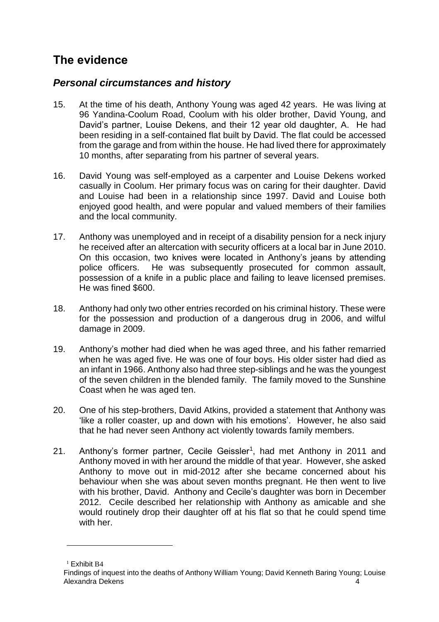# <span id="page-4-0"></span>**The evidence**

### <span id="page-4-1"></span>*Personal circumstances and history*

- 15. At the time of his death, Anthony Young was aged 42 years. He was living at 96 Yandina-Coolum Road, Coolum with his older brother, David Young, and David's partner, Louise Dekens, and their 12 year old daughter, A. He had been residing in a self-contained flat built by David. The flat could be accessed from the garage and from within the house. He had lived there for approximately 10 months, after separating from his partner of several years.
- 16. David Young was self-employed as a carpenter and Louise Dekens worked casually in Coolum. Her primary focus was on caring for their daughter. David and Louise had been in a relationship since 1997. David and Louise both enjoyed good health, and were popular and valued members of their families and the local community.
- 17. Anthony was unemployed and in receipt of a disability pension for a neck injury he received after an altercation with security officers at a local bar in June 2010. On this occasion, two knives were located in Anthony's jeans by attending police officers. He was subsequently prosecuted for common assault, possession of a knife in a public place and failing to leave licensed premises. He was fined \$600.
- 18. Anthony had only two other entries recorded on his criminal history. These were for the possession and production of a dangerous drug in 2006, and wilful damage in 2009.
- 19. Anthony's mother had died when he was aged three, and his father remarried when he was aged five. He was one of four boys. His older sister had died as an infant in 1966. Anthony also had three step-siblings and he was the youngest of the seven children in the blended family. The family moved to the Sunshine Coast when he was aged ten.
- 20. One of his step-brothers, David Atkins, provided a statement that Anthony was 'like a roller coaster, up and down with his emotions'. However, he also said that he had never seen Anthony act violently towards family members.
- 21. Anthony's former partner, Cecile Geissler<sup>1</sup>, had met Anthony in 2011 and Anthony moved in with her around the middle of that year. However, she asked Anthony to move out in mid-2012 after she became concerned about his behaviour when she was about seven months pregnant. He then went to live with his brother, David. Anthony and Cecile's daughter was born in December 2012. Cecile described her relationship with Anthony as amicable and she would routinely drop their daughter off at his flat so that he could spend time with her.

 $<sup>1</sup>$  Exhibit B4</sup>

Findings of inquest into the deaths of Anthony William Young; David Kenneth Baring Young; Louise Alexandra Dekens 4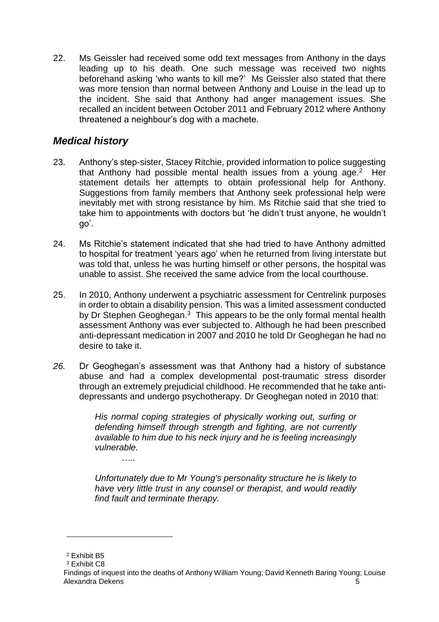22. Ms Geissler had received some odd text messages from Anthony in the days leading up to his death. One such message was received two nights beforehand asking 'who wants to kill me?' Ms Geissler also stated that there was more tension than normal between Anthony and Louise in the lead up to the incident. She said that Anthony had anger management issues. She recalled an incident between October 2011 and February 2012 where Anthony threatened a neighbour's dog with a machete.

### <span id="page-5-0"></span>*Medical history*

- 23. Anthony's step-sister, Stacey Ritchie, provided information to police suggesting that Anthony had possible mental health issues from a young age.<sup>2</sup> Her statement details her attempts to obtain professional help for Anthony. Suggestions from family members that Anthony seek professional help were inevitably met with strong resistance by him. Ms Ritchie said that she tried to take him to appointments with doctors but 'he didn't trust anyone, he wouldn't go'.
- 24. Ms Ritchie's statement indicated that she had tried to have Anthony admitted to hospital for treatment 'years ago' when he returned from living interstate but was told that, unless he was hurting himself or other persons, the hospital was unable to assist. She received the same advice from the local courthouse.
- 25. In 2010, Anthony underwent a psychiatric assessment for Centrelink purposes in order to obtain a disability pension. This was a limited assessment conducted by Dr Stephen Geoghegan.<sup>3</sup> This appears to be the only formal mental health assessment Anthony was ever subjected to. Although he had been prescribed anti-depressant medication in 2007 and 2010 he told Dr Geoghegan he had no desire to take it.
- *26.* Dr Geoghegan's assessment was that Anthony had a history of substance abuse and had a complex developmental post-traumatic stress disorder through an extremely prejudicial childhood. He recommended that he take antidepressants and undergo psychotherapy. Dr Geoghegan noted in 2010 that:

*His normal coping strategies of physically working out, surfing or defending himself through strength and fighting, are not currently available to him due to his neck injury and he is feeling increasingly vulnerable.*

*Unfortunately due to Mr Young's personality structure he is likely to have very little trust in any counsel or therapist, and would readily find fault and terminate therapy.*

 $\overline{a}$ 

*…..*

<sup>2</sup> Exhibit B5

<sup>3</sup> Exhibit C8

Findings of inquest into the deaths of Anthony William Young; David Kenneth Baring Young; Louise Alexandra Dekens 5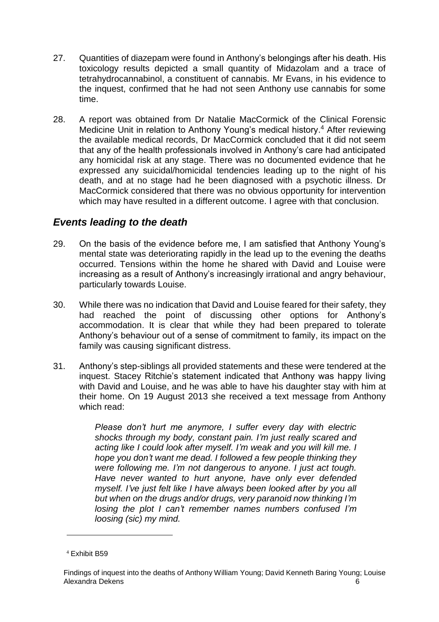- 27. Quantities of diazepam were found in Anthony's belongings after his death. His toxicology results depicted a small quantity of Midazolam and a trace of tetrahydrocannabinol, a constituent of cannabis. Mr Evans, in his evidence to the inquest, confirmed that he had not seen Anthony use cannabis for some time.
- 28. A report was obtained from Dr Natalie MacCormick of the Clinical Forensic Medicine Unit in relation to Anthony Young's medical history. <sup>4</sup> After reviewing the available medical records, Dr MacCormick concluded that it did not seem that any of the health professionals involved in Anthony's care had anticipated any homicidal risk at any stage. There was no documented evidence that he expressed any suicidal/homicidal tendencies leading up to the night of his death, and at no stage had he been diagnosed with a psychotic illness. Dr MacCormick considered that there was no obvious opportunity for intervention which may have resulted in a different outcome. I agree with that conclusion.

### <span id="page-6-0"></span>*Events leading to the death*

- 29. On the basis of the evidence before me, I am satisfied that Anthony Young's mental state was deteriorating rapidly in the lead up to the evening the deaths occurred. Tensions within the home he shared with David and Louise were increasing as a result of Anthony's increasingly irrational and angry behaviour, particularly towards Louise.
- 30. While there was no indication that David and Louise feared for their safety, they had reached the point of discussing other options for Anthony's accommodation. It is clear that while they had been prepared to tolerate Anthony's behaviour out of a sense of commitment to family, its impact on the family was causing significant distress.
- 31. Anthony's step-siblings all provided statements and these were tendered at the inquest. Stacey Ritchie's statement indicated that Anthony was happy living with David and Louise, and he was able to have his daughter stay with him at their home. On 19 August 2013 she received a text message from Anthony which read:

*Please don't hurt me anymore, I suffer every day with electric shocks through my body, constant pain. I'm just really scared and acting like I could look after myself. I'm weak and you will kill me. I hope you don't want me dead. I followed a few people thinking they were following me. I'm not dangerous to anyone. I just act tough. Have never wanted to hurt anyone, have only ever defended myself. I've just felt like I have always been looked after by you all but when on the drugs and/or drugs, very paranoid now thinking I'm losing the plot I can't remember names numbers confused I'm loosing (sic) my mind.*

<sup>4</sup> Exhibit B59

Findings of inquest into the deaths of Anthony William Young; David Kenneth Baring Young; Louise Alexandra Dekens 6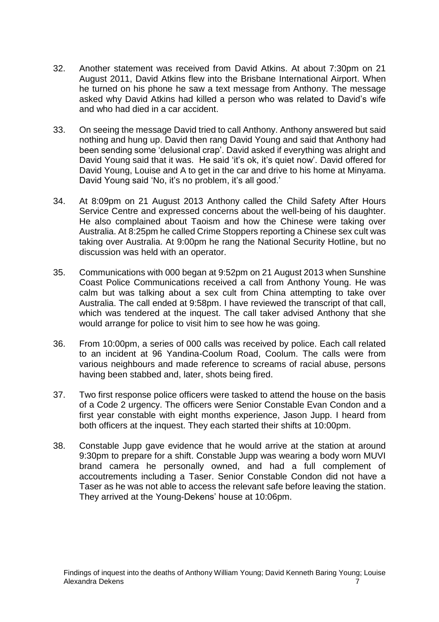- 32. Another statement was received from David Atkins. At about 7:30pm on 21 August 2011, David Atkins flew into the Brisbane International Airport. When he turned on his phone he saw a text message from Anthony. The message asked why David Atkins had killed a person who was related to David's wife and who had died in a car accident.
- 33. On seeing the message David tried to call Anthony. Anthony answered but said nothing and hung up. David then rang David Young and said that Anthony had been sending some 'delusional crap'. David asked if everything was alright and David Young said that it was. He said 'it's ok, it's quiet now'. David offered for David Young, Louise and A to get in the car and drive to his home at Minyama. David Young said 'No, it's no problem, it's all good.'
- 34. At 8:09pm on 21 August 2013 Anthony called the Child Safety After Hours Service Centre and expressed concerns about the well-being of his daughter. He also complained about Taoism and how the Chinese were taking over Australia. At 8:25pm he called Crime Stoppers reporting a Chinese sex cult was taking over Australia. At 9:00pm he rang the National Security Hotline, but no discussion was held with an operator.
- 35. Communications with 000 began at 9:52pm on 21 August 2013 when Sunshine Coast Police Communications received a call from Anthony Young. He was calm but was talking about a sex cult from China attempting to take over Australia. The call ended at 9:58pm. I have reviewed the transcript of that call, which was tendered at the inquest. The call taker advised Anthony that she would arrange for police to visit him to see how he was going.
- 36. From 10:00pm, a series of 000 calls was received by police. Each call related to an incident at 96 Yandina-Coolum Road, Coolum. The calls were from various neighbours and made reference to screams of racial abuse, persons having been stabbed and, later, shots being fired.
- 37. Two first response police officers were tasked to attend the house on the basis of a Code 2 urgency. The officers were Senior Constable Evan Condon and a first year constable with eight months experience, Jason Jupp. I heard from both officers at the inquest. They each started their shifts at 10:00pm.
- 38. Constable Jupp gave evidence that he would arrive at the station at around 9:30pm to prepare for a shift. Constable Jupp was wearing a body worn MUVI brand camera he personally owned, and had a full complement of accoutrements including a Taser. Senior Constable Condon did not have a Taser as he was not able to access the relevant safe before leaving the station. They arrived at the Young-Dekens' house at 10:06pm.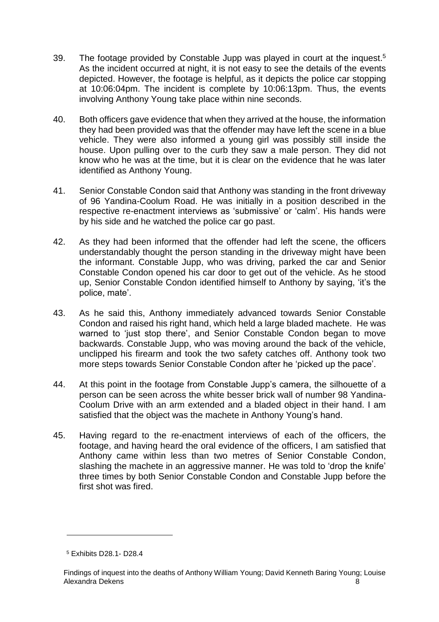- 39. The footage provided by Constable Jupp was played in court at the inquest. 5 As the incident occurred at night, it is not easy to see the details of the events depicted. However, the footage is helpful, as it depicts the police car stopping at 10:06:04pm. The incident is complete by 10:06:13pm. Thus, the events involving Anthony Young take place within nine seconds.
- 40. Both officers gave evidence that when they arrived at the house, the information they had been provided was that the offender may have left the scene in a blue vehicle. They were also informed a young girl was possibly still inside the house. Upon pulling over to the curb they saw a male person. They did not know who he was at the time, but it is clear on the evidence that he was later identified as Anthony Young.
- 41. Senior Constable Condon said that Anthony was standing in the front driveway of 96 Yandina-Coolum Road. He was initially in a position described in the respective re-enactment interviews as 'submissive' or 'calm'. His hands were by his side and he watched the police car go past.
- 42. As they had been informed that the offender had left the scene, the officers understandably thought the person standing in the driveway might have been the informant. Constable Jupp, who was driving, parked the car and Senior Constable Condon opened his car door to get out of the vehicle. As he stood up, Senior Constable Condon identified himself to Anthony by saying, 'it's the police, mate'.
- 43. As he said this, Anthony immediately advanced towards Senior Constable Condon and raised his right hand, which held a large bladed machete. He was warned to 'just stop there', and Senior Constable Condon began to move backwards. Constable Jupp, who was moving around the back of the vehicle, unclipped his firearm and took the two safety catches off. Anthony took two more steps towards Senior Constable Condon after he 'picked up the pace'.
- 44. At this point in the footage from Constable Jupp's camera, the silhouette of a person can be seen across the white besser brick wall of number 98 Yandina-Coolum Drive with an arm extended and a bladed object in their hand. I am satisfied that the object was the machete in Anthony Young's hand.
- 45. Having regard to the re-enactment interviews of each of the officers, the footage, and having heard the oral evidence of the officers, I am satisfied that Anthony came within less than two metres of Senior Constable Condon, slashing the machete in an aggressive manner. He was told to 'drop the knife' three times by both Senior Constable Condon and Constable Jupp before the first shot was fired.

<sup>5</sup> Exhibits D28.1- D28.4

Findings of inquest into the deaths of Anthony William Young; David Kenneth Baring Young; Louise Alexandra Dekens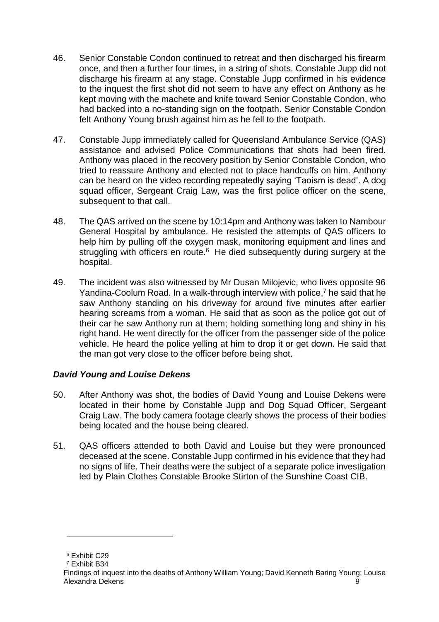- 46. Senior Constable Condon continued to retreat and then discharged his firearm once, and then a further four times, in a string of shots. Constable Jupp did not discharge his firearm at any stage. Constable Jupp confirmed in his evidence to the inquest the first shot did not seem to have any effect on Anthony as he kept moving with the machete and knife toward Senior Constable Condon, who had backed into a no-standing sign on the footpath. Senior Constable Condon felt Anthony Young brush against him as he fell to the footpath.
- 47. Constable Jupp immediately called for Queensland Ambulance Service (QAS) assistance and advised Police Communications that shots had been fired. Anthony was placed in the recovery position by Senior Constable Condon, who tried to reassure Anthony and elected not to place handcuffs on him. Anthony can be heard on the video recording repeatedly saying 'Taoism is dead'. A dog squad officer, Sergeant Craig Law, was the first police officer on the scene, subsequent to that call.
- 48. The QAS arrived on the scene by 10:14pm and Anthony was taken to Nambour General Hospital by ambulance. He resisted the attempts of QAS officers to help him by pulling off the oxygen mask, monitoring equipment and lines and struggling with officers en route.<sup>6</sup> He died subsequently during surgery at the hospital.
- 49. The incident was also witnessed by Mr Dusan Milojevic, who lives opposite 96 Yandina-Coolum Road. In a walk-through interview with police, <sup>7</sup> he said that he saw Anthony standing on his driveway for around five minutes after earlier hearing screams from a woman. He said that as soon as the police got out of their car he saw Anthony run at them; holding something long and shiny in his right hand. He went directly for the officer from the passenger side of the police vehicle. He heard the police yelling at him to drop it or get down. He said that the man got very close to the officer before being shot.

#### <span id="page-9-0"></span>*David Young and Louise Dekens*

- 50. After Anthony was shot, the bodies of David Young and Louise Dekens were located in their home by Constable Jupp and Dog Squad Officer, Sergeant Craig Law. The body camera footage clearly shows the process of their bodies being located and the house being cleared.
- 51. QAS officers attended to both David and Louise but they were pronounced deceased at the scene. Constable Jupp confirmed in his evidence that they had no signs of life. Their deaths were the subject of a separate police investigation led by Plain Clothes Constable Brooke Stirton of the Sunshine Coast CIB.

<sup>6</sup> Exhibit C29

<sup>7</sup> Exhibit B34

Findings of inquest into the deaths of Anthony William Young; David Kenneth Baring Young; Louise Alexandra Dekens 9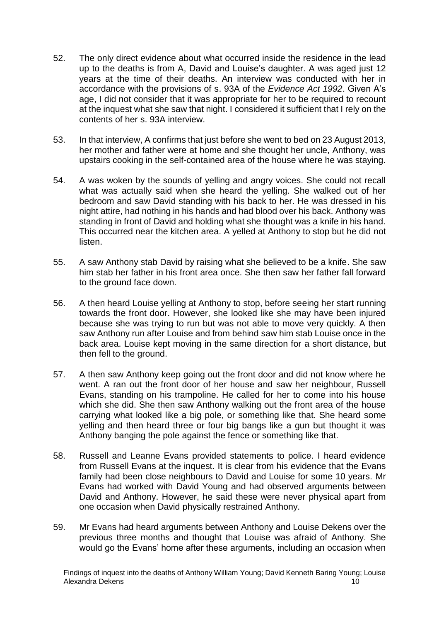- 52. The only direct evidence about what occurred inside the residence in the lead up to the deaths is from A, David and Louise's daughter. A was aged just 12 years at the time of their deaths. An interview was conducted with her in accordance with the provisions of s. 93A of the *Evidence Act 1992*. Given A's age, I did not consider that it was appropriate for her to be required to recount at the inquest what she saw that night. I considered it sufficient that I rely on the contents of her s. 93A interview.
- 53. In that interview, A confirms that just before she went to bed on 23 August 2013, her mother and father were at home and she thought her uncle, Anthony, was upstairs cooking in the self-contained area of the house where he was staying.
- 54. A was woken by the sounds of yelling and angry voices. She could not recall what was actually said when she heard the yelling. She walked out of her bedroom and saw David standing with his back to her. He was dressed in his night attire, had nothing in his hands and had blood over his back. Anthony was standing in front of David and holding what she thought was a knife in his hand. This occurred near the kitchen area. A yelled at Anthony to stop but he did not listen.
- 55. A saw Anthony stab David by raising what she believed to be a knife. She saw him stab her father in his front area once. She then saw her father fall forward to the ground face down.
- 56. A then heard Louise yelling at Anthony to stop, before seeing her start running towards the front door. However, she looked like she may have been injured because she was trying to run but was not able to move very quickly. A then saw Anthony run after Louise and from behind saw him stab Louise once in the back area. Louise kept moving in the same direction for a short distance, but then fell to the ground.
- 57. A then saw Anthony keep going out the front door and did not know where he went. A ran out the front door of her house and saw her neighbour, Russell Evans, standing on his trampoline. He called for her to come into his house which she did. She then saw Anthony walking out the front area of the house carrying what looked like a big pole, or something like that. She heard some yelling and then heard three or four big bangs like a gun but thought it was Anthony banging the pole against the fence or something like that.
- 58. Russell and Leanne Evans provided statements to police. I heard evidence from Russell Evans at the inquest. It is clear from his evidence that the Evans family had been close neighbours to David and Louise for some 10 years. Mr Evans had worked with David Young and had observed arguments between David and Anthony. However, he said these were never physical apart from one occasion when David physically restrained Anthony.
- 59. Mr Evans had heard arguments between Anthony and Louise Dekens over the previous three months and thought that Louise was afraid of Anthony. She would go the Evans' home after these arguments, including an occasion when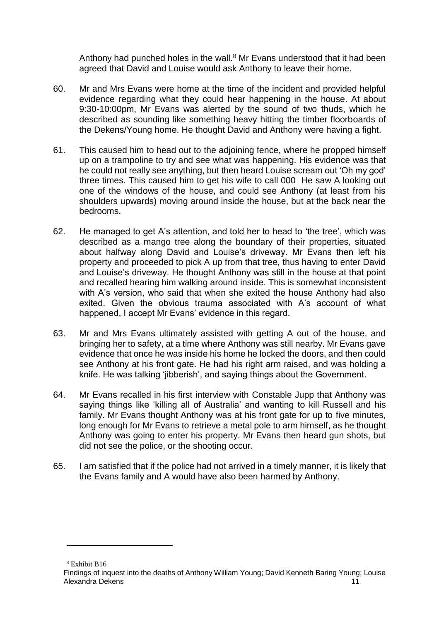Anthony had punched holes in the wall. $8$  Mr Evans understood that it had been agreed that David and Louise would ask Anthony to leave their home.

- 60. Mr and Mrs Evans were home at the time of the incident and provided helpful evidence regarding what they could hear happening in the house. At about 9:30-10:00pm, Mr Evans was alerted by the sound of two thuds, which he described as sounding like something heavy hitting the timber floorboards of the Dekens/Young home. He thought David and Anthony were having a fight.
- 61. This caused him to head out to the adjoining fence, where he propped himself up on a trampoline to try and see what was happening. His evidence was that he could not really see anything, but then heard Louise scream out 'Oh my god' three times. This caused him to get his wife to call 000 He saw A looking out one of the windows of the house, and could see Anthony (at least from his shoulders upwards) moving around inside the house, but at the back near the bedrooms.
- 62. He managed to get A's attention, and told her to head to 'the tree', which was described as a mango tree along the boundary of their properties, situated about halfway along David and Louise's driveway. Mr Evans then left his property and proceeded to pick A up from that tree, thus having to enter David and Louise's driveway. He thought Anthony was still in the house at that point and recalled hearing him walking around inside. This is somewhat inconsistent with A's version, who said that when she exited the house Anthony had also exited. Given the obvious trauma associated with A's account of what happened, I accept Mr Evans' evidence in this regard.
- 63. Mr and Mrs Evans ultimately assisted with getting A out of the house, and bringing her to safety, at a time where Anthony was still nearby. Mr Evans gave evidence that once he was inside his home he locked the doors, and then could see Anthony at his front gate. He had his right arm raised, and was holding a knife. He was talking 'jibberish', and saying things about the Government.
- 64. Mr Evans recalled in his first interview with Constable Jupp that Anthony was saying things like 'killing all of Australia' and wanting to kill Russell and his family. Mr Evans thought Anthony was at his front gate for up to five minutes, long enough for Mr Evans to retrieve a metal pole to arm himself, as he thought Anthony was going to enter his property. Mr Evans then heard gun shots, but did not see the police, or the shooting occur.
- 65. I am satisfied that if the police had not arrived in a timely manner, it is likely that the Evans family and A would have also been harmed by Anthony.

<sup>8</sup> Exhibit B16

Findings of inquest into the deaths of Anthony William Young; David Kenneth Baring Young; Louise Alexandra Dekens 11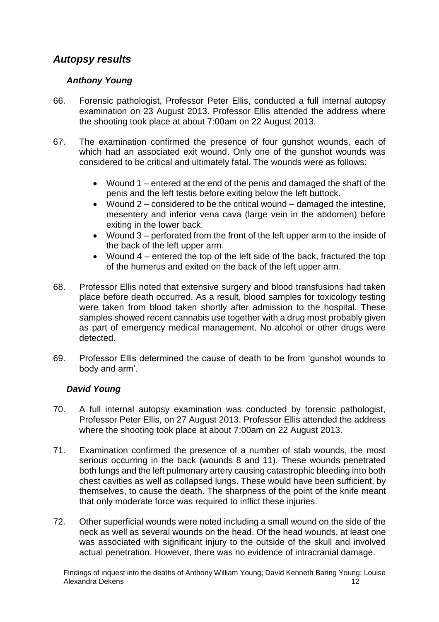### <span id="page-12-0"></span>*Autopsy results*

#### *Anthony Young*

- 66. Forensic pathologist, Professor Peter Ellis, conducted a full internal autopsy examination on 23 August 2013. Professor Ellis attended the address where the shooting took place at about 7:00am on 22 August 2013.
- 67. The examination confirmed the presence of four gunshot wounds, each of which had an associated exit wound. Only one of the gunshot wounds was considered to be critical and ultimately fatal. The wounds were as follows:
	- Wound 1 entered at the end of the penis and damaged the shaft of the penis and the left testis before exiting below the left buttock.
	- Wound 2 considered to be the critical wound damaged the intestine, mesentery and inferior vena cava (large vein in the abdomen) before exiting in the lower back.
	- Wound 3 perforated from the front of the left upper arm to the inside of the back of the left upper arm.
	- $\bullet$  Wound 4 entered the top of the left side of the back, fractured the top of the humerus and exited on the back of the left upper arm.
- 68. Professor Ellis noted that extensive surgery and blood transfusions had taken place before death occurred. As a result, blood samples for toxicology testing were taken from blood taken shortly after admission to the hospital. These samples showed recent cannabis use together with a drug most probably given as part of emergency medical management. No alcohol or other drugs were detected.
- 69. Professor Ellis determined the cause of death to be from 'gunshot wounds to body and arm'.

#### *David Young*

- 70. A full internal autopsy examination was conducted by forensic pathologist, Professor Peter Ellis, on 27 August 2013. Professor Ellis attended the address where the shooting took place at about 7:00am on 22 August 2013.
- 71. Examination confirmed the presence of a number of stab wounds, the most serious occurring in the back (wounds 8 and 11). These wounds penetrated both lungs and the left pulmonary artery causing catastrophic bleeding into both chest cavities as well as collapsed lungs. These would have been sufficient, by themselves, to cause the death. The sharpness of the point of the knife meant that only moderate force was required to inflict these injuries.
- 72. Other superficial wounds were noted including a small wound on the side of the neck as well as several wounds on the head. Of the head wounds, at least one was associated with significant injury to the outside of the skull and involved actual penetration. However, there was no evidence of intracranial damage.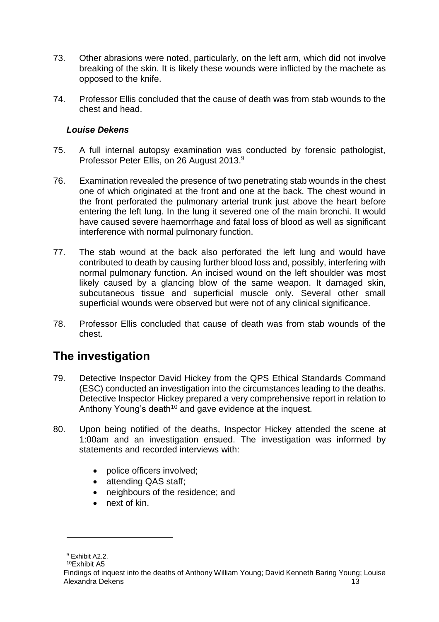- 73. Other abrasions were noted, particularly, on the left arm, which did not involve breaking of the skin. It is likely these wounds were inflicted by the machete as opposed to the knife.
- 74. Professor Ellis concluded that the cause of death was from stab wounds to the chest and head.

#### *Louise Dekens*

- 75. A full internal autopsy examination was conducted by forensic pathologist, Professor Peter Ellis, on 26 August 2013.<sup>9</sup>
- 76. Examination revealed the presence of two penetrating stab wounds in the chest one of which originated at the front and one at the back. The chest wound in the front perforated the pulmonary arterial trunk just above the heart before entering the left lung. In the lung it severed one of the main bronchi. It would have caused severe haemorrhage and fatal loss of blood as well as significant interference with normal pulmonary function.
- 77. The stab wound at the back also perforated the left lung and would have contributed to death by causing further blood loss and, possibly, interfering with normal pulmonary function. An incised wound on the left shoulder was most likely caused by a glancing blow of the same weapon. It damaged skin, subcutaneous tissue and superficial muscle only. Several other small superficial wounds were observed but were not of any clinical significance.
- 78. Professor Ellis concluded that cause of death was from stab wounds of the chest.

# <span id="page-13-0"></span>**The investigation**

- 79. Detective Inspector David Hickey from the QPS Ethical Standards Command (ESC) conducted an investigation into the circumstances leading to the deaths. Detective Inspector Hickey prepared a very comprehensive report in relation to Anthony Young's death<sup>10</sup> and gave evidence at the inquest.
- 80. Upon being notified of the deaths, Inspector Hickey attended the scene at 1:00am and an investigation ensued. The investigation was informed by statements and recorded interviews with:
	- police officers involved;
	- attending QAS staff;
	- neighbours of the residence; and
	- next of kin.

<sup>9</sup> Exhibit A2.2.

<sup>10</sup>Exhibit A5

Findings of inquest into the deaths of Anthony William Young; David Kenneth Baring Young; Louise Alexandra Dekens 13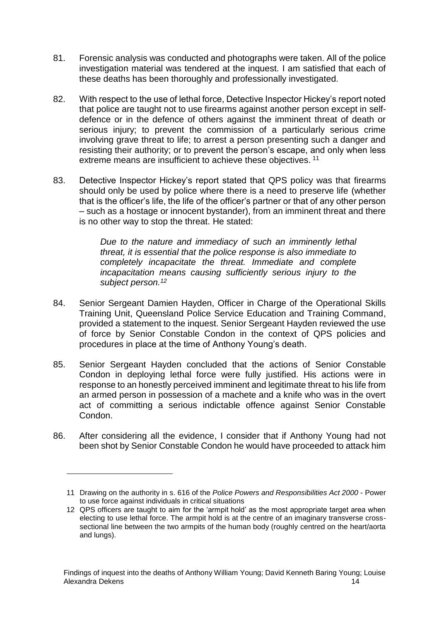- 81. Forensic analysis was conducted and photographs were taken. All of the police investigation material was tendered at the inquest. I am satisfied that each of these deaths has been thoroughly and professionally investigated.
- 82. With respect to the use of lethal force, Detective Inspector Hickey's report noted that police are taught not to use firearms against another person except in selfdefence or in the defence of others against the imminent threat of death or serious injury; to prevent the commission of a particularly serious crime involving grave threat to life; to arrest a person presenting such a danger and resisting their authority; or to prevent the person's escape, and only when less extreme means are insufficient to achieve these objectives.<sup>11</sup>
- 83. Detective Inspector Hickey's report stated that QPS policy was that firearms should only be used by police where there is a need to preserve life (whether that is the officer's life, the life of the officer's partner or that of any other person – such as a hostage or innocent bystander), from an imminent threat and there is no other way to stop the threat. He stated:

*Due to the nature and immediacy of such an imminently lethal threat, it is essential that the police response is also immediate to completely incapacitate the threat. Immediate and complete incapacitation means causing sufficiently serious injury to the subject person.<sup>12</sup>*

- 84. Senior Sergeant Damien Hayden, Officer in Charge of the Operational Skills Training Unit, Queensland Police Service Education and Training Command, provided a statement to the inquest. Senior Sergeant Hayden reviewed the use of force by Senior Constable Condon in the context of QPS policies and procedures in place at the time of Anthony Young's death.
- 85. Senior Sergeant Hayden concluded that the actions of Senior Constable Condon in deploying lethal force were fully justified. His actions were in response to an honestly perceived imminent and legitimate threat to his life from an armed person in possession of a machete and a knife who was in the overt act of committing a serious indictable offence against Senior Constable Condon.
- 86. After considering all the evidence, I consider that if Anthony Young had not been shot by Senior Constable Condon he would have proceeded to attack him

<sup>11</sup> Drawing on the authority in s. 616 of the *Police Powers and Responsibilities Act 2000* - Power to use force against individuals in critical situations

<sup>12</sup> QPS officers are taught to aim for the 'armpit hold' as the most appropriate target area when electing to use lethal force. The armpit hold is at the centre of an imaginary transverse crosssectional line between the two armpits of the human body (roughly centred on the heart/aorta and lungs).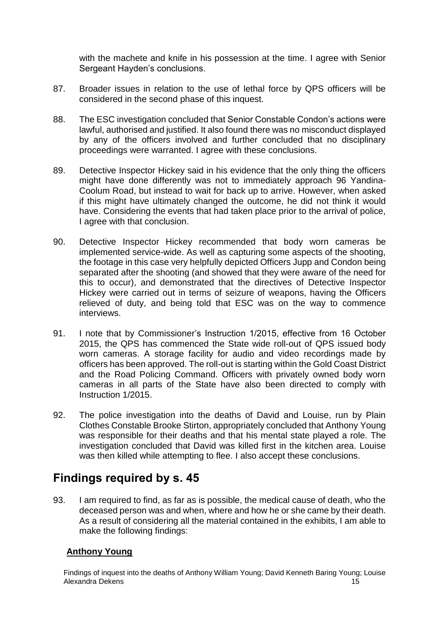with the machete and knife in his possession at the time. I agree with Senior Sergeant Hayden's conclusions.

- 87. Broader issues in relation to the use of lethal force by QPS officers will be considered in the second phase of this inquest.
- 88. The ESC investigation concluded that Senior Constable Condon's actions were lawful, authorised and justified. It also found there was no misconduct displayed by any of the officers involved and further concluded that no disciplinary proceedings were warranted. I agree with these conclusions.
- 89. Detective Inspector Hickey said in his evidence that the only thing the officers might have done differently was not to immediately approach 96 Yandina-Coolum Road, but instead to wait for back up to arrive. However, when asked if this might have ultimately changed the outcome, he did not think it would have. Considering the events that had taken place prior to the arrival of police, I agree with that conclusion.
- 90. Detective Inspector Hickey recommended that body worn cameras be implemented service-wide. As well as capturing some aspects of the shooting, the footage in this case very helpfully depicted Officers Jupp and Condon being separated after the shooting (and showed that they were aware of the need for this to occur), and demonstrated that the directives of Detective Inspector Hickey were carried out in terms of seizure of weapons, having the Officers relieved of duty, and being told that ESC was on the way to commence interviews.
- 91. I note that by Commissioner's Instruction 1/2015, effective from 16 October 2015, the QPS has commenced the State wide roll-out of QPS issued body worn cameras. A storage facility for audio and video recordings made by officers has been approved. The roll-out is starting within the Gold Coast District and the Road Policing Command. Officers with privately owned body worn cameras in all parts of the State have also been directed to comply with Instruction 1/2015.
- 92. The police investigation into the deaths of David and Louise, run by Plain Clothes Constable Brooke Stirton, appropriately concluded that Anthony Young was responsible for their deaths and that his mental state played a role. The investigation concluded that David was killed first in the kitchen area. Louise was then killed while attempting to flee. I also accept these conclusions.

## <span id="page-15-0"></span>**Findings required by s. 45**

93. I am required to find, as far as is possible, the medical cause of death, who the deceased person was and when, where and how he or she came by their death. As a result of considering all the material contained in the exhibits, I am able to make the following findings:

#### **Anthony Young**

Findings of inquest into the deaths of Anthony William Young; David Kenneth Baring Young; Louise Alexandra Dekens 15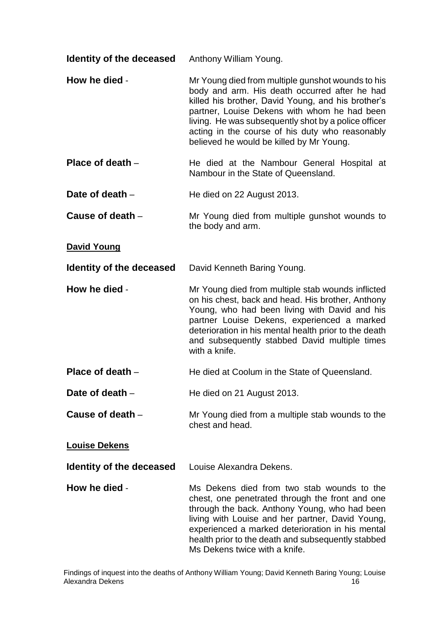| Identity of the deceased | Anthony William Young. |
|--------------------------|------------------------|
|--------------------------|------------------------|

- **How he died** Mr Young died from multiple gunshot wounds to his body and arm. His death occurred after he had killed his brother, David Young, and his brother's partner, Louise Dekens with whom he had been living. He was subsequently shot by a police officer acting in the course of his duty who reasonably believed he would be killed by Mr Young.
- **Place of death** He died at the Nambour General Hospital at Nambour in the State of Queensland.
- **Date of death He died on 22 August 2013.**
- **Cause of death** Mr Young died from multiple gunshot wounds to the body and arm.

#### **David Young**

**Identity of the deceased** David Kenneth Baring Young.

- **How he died** Mr Young died from multiple stab wounds inflicted on his chest, back and head. His brother, Anthony Young, who had been living with David and his partner Louise Dekens, experienced a marked deterioration in his mental health prior to the death and subsequently stabbed David multiple times with a knife.
- **Place of death** He died at Coolum in the State of Queensland.
- **Date of death He died on 21 August 2013.**
- **Cause of death** Mr Young died from a multiple stab wounds to the chest and head.

#### **Louise Dekens**

- **Identity of the deceased** Louise Alexandra Dekens.
- **How he died** Ms Dekens died from two stab wounds to the chest, one penetrated through the front and one through the back. Anthony Young, who had been living with Louise and her partner, David Young, experienced a marked deterioration in his mental health prior to the death and subsequently stabbed Ms Dekens twice with a knife.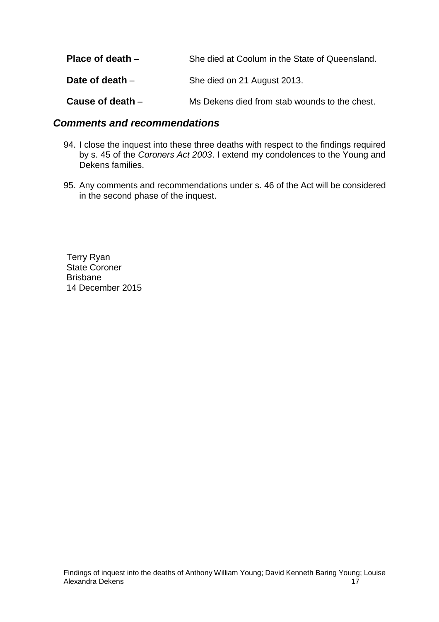| Place of death $-$ | She died at Coolum in the State of Queensland. |
|--------------------|------------------------------------------------|
| Date of death $-$  | She died on 21 August 2013.                    |
| Cause of death $-$ | Ms Dekens died from stab wounds to the chest.  |

#### <span id="page-17-0"></span>*Comments and recommendations*

- 94. I close the inquest into these three deaths with respect to the findings required by s. 45 of the *Coroners Act 2003*. I extend my condolences to the Young and Dekens families.
- 95. Any comments and recommendations under s. 46 of the Act will be considered in the second phase of the inquest.

Terry Ryan State Coroner Brisbane 14 December 2015